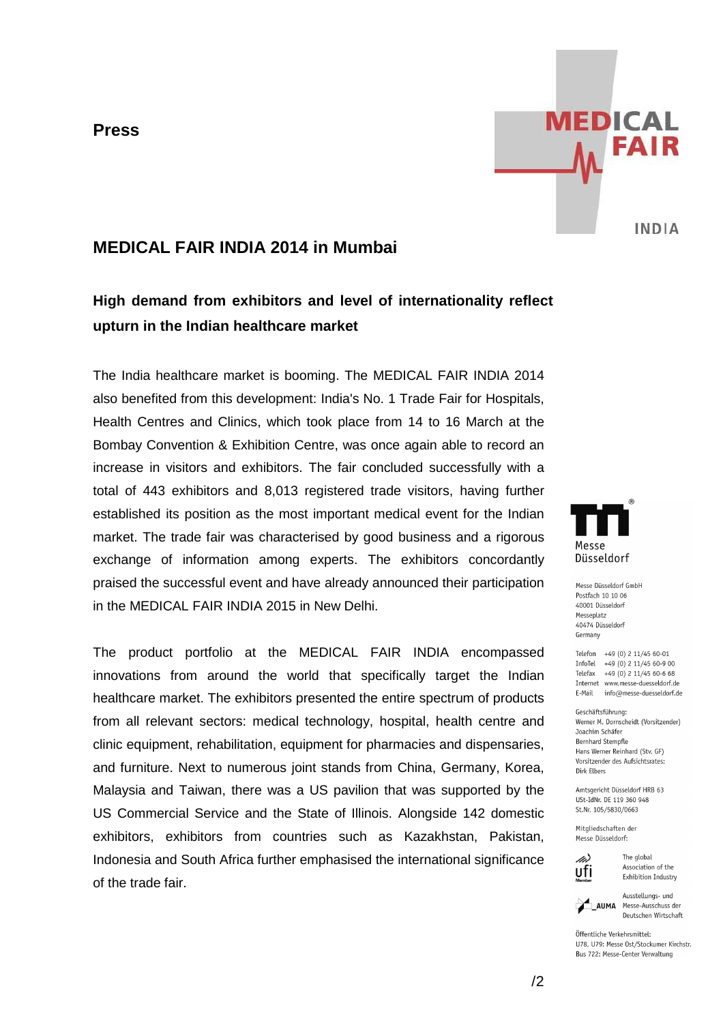**Press**



## **MEDICAL FAIR INDIA 2014 in Mumbai**

# **High demand from exhibitors and level of internationality reflect upturn in the Indian healthcare market**

The India healthcare market is booming. The MEDICAL FAIR INDIA 2014 also benefited from this development: India's No. 1 Trade Fair for Hospitals, Health Centres and Clinics, which took place from 14 to 16 March at the Bombay Convention & Exhibition Centre, was once again able to record an increase in visitors and exhibitors. The fair concluded successfully with a total of 443 exhibitors and 8,013 registered trade visitors, having further established its position as the most important medical event for the Indian market. The trade fair was characterised by good business and a rigorous exchange of information among experts. The exhibitors concordantly praised the successful event and have already announced their participation in the MEDICAL FAIR INDIA 2015 in New Delhi.

The product portfolio at the MEDICAL FAIR INDIA encompassed innovations from around the world that specifically target the Indian healthcare market. The exhibitors presented the entire spectrum of products from all relevant sectors: medical technology, hospital, health centre and clinic equipment, rehabilitation, equipment for pharmacies and dispensaries, and furniture. Next to numerous joint stands from China, Germany, Korea, Malaysia and Taiwan, there was a US pavilion that was supported by the US Commercial Service and the State of Illinois. Alongside 142 domestic exhibitors, exhibitors from countries such as Kazakhstan, Pakistan, Indonesia and South Africa further emphasised the international significance of the trade fair.



Macca Diiccaldorf GmhH Postfach 10 10 06 40001 Düsseldorf Messeplatz 40474 Diisseldorf Germany

Telefon +49 (0) 2 11/45 60-01  $InfoTel + 49(0) 2 11/45 60-9 00$ Telefax  $+49(0)$  2 11/45 60-6 68 Internet www.messe-duesseldorf.de E-Mail info@messe-duesseldorf.de

Geschäftsführung: Werner M. Dornscheidt (Vorsitzender) Joachim Schäfer **Bernhard Stempfle** Hans Werner Reinhard (Stv. GF) Vorsitzender des Aufsichtsrates: Dirk Elbers

Amtsgericht Düsseldorf HRB 63 USt-IdNr. DE 119 360 948 St.Nr. 105/5830/0663

Mitgliedschaften der Messe Düsseldorf:



The global Association of the Exhibition Industry

Ausstellungs- und AUMA Messe-Ausschuss der Deutschen Wirtschaft

Öffentliche Verkehrsmittel: U78, U79: Messe Ost/Stockumer Kirchstr. Bus 722: Messe-Center Verwaltung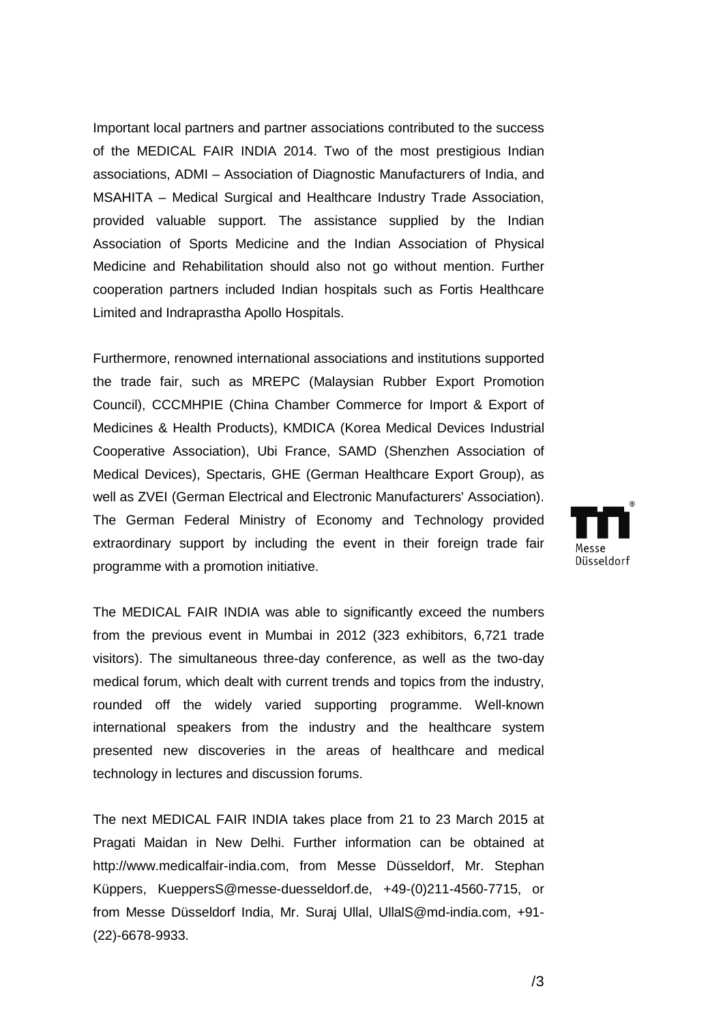Important local partners and partner associations contributed to the success of the MEDICAL FAIR INDIA 201 2014. Two of the most prestigious Indian associations, ADMI – Association of Diagnostic Manufacturers of India, and MSAHITA – Medical Surgical and Healthcare Industry Trade Association, provided valuable support. The assistance supplied by the Indian Association of Sports Medicine and the Indian Association of Physical Medicine and Rehabilitation should also not go without mention. Further cooperation partners included Indian hospitals such as Fortis Healthcare Limited and Indraprastha Apollo Hospitals. ciation of Sports Medicine and the Indian Association of Physical<br>cine and Rehabilitation should also not go without mention. Further<br>eration partners included Indian hospitals such as Fortis Healthcare<br>ed and Indraprastha

Furthermore, renowned international associations and institutions supported the trade fair, such as MREPC (Malaysian Rubber Export Promotion Council), CCCMHPIE (China Chamber Commerce for Import & Export of Medicines & Health Products), KMDICA (Korea Medical De Devices Industrial Cooperative Association), Ubi France, SAMD (Shenzhen Association of Medical Devices), Spectaris, GHE (German Healthcare Export Group), as well as ZVEI (German Electrical and Electronic Manufacturers' Association). The German Federal Minist Ministry of Economy and Technology provided extraordinary support by including the event in their foreign trade fair programme with a promotion initiative. k 2014. Two of the most prestigious Indian<br>ion of Diagnostic Manufacturers of India, and<br>and Healthcare Industry Trade Association,<br>The assistance supplied by the Indian<br>me and the Indian Association of Physical<br>robud also

The MEDICAL FAIR INDIA was able to significantly exceed the numbers from the previous event in Mumbai in 2012 (323 exhibitors, 6,721 trade visitors). The simultaneous three-day conference, as well as the two-day medical forum, which dealt with current trends and topics from the industry, rounded off the widely varied supporting programme. Well-known international speakers from the industry and the healthcare system presented new discoveries in the areas of healthcare and medical technology in lectures and discussion forums.

The next MEDICAL FAIR INDIA takes place from 21 to 23 March 2015 at Pragati Maidan in New Delhi. Further information can be obtained at http://www.medicalfair-india.com, from Messe Düsseldorf, Mr. Stephan Küppers, KueppersS@messe-duesseldorf.de, +49-(0)211-4560-7715, or from Messe Düsseldorf India, Mr. Suraj Ullal, UllalS@md UllalS@md-india.com, +91 (22)-6678-9933. onal speakers from the industry and the healthcare system<br>ed new discoveries in the areas of healthcare and medical<br>ogy in lectures and discussion forums.<br>tt MEDICAL FAIR INDIA takes place from 21 to 23 March 2015 at<br>Maida

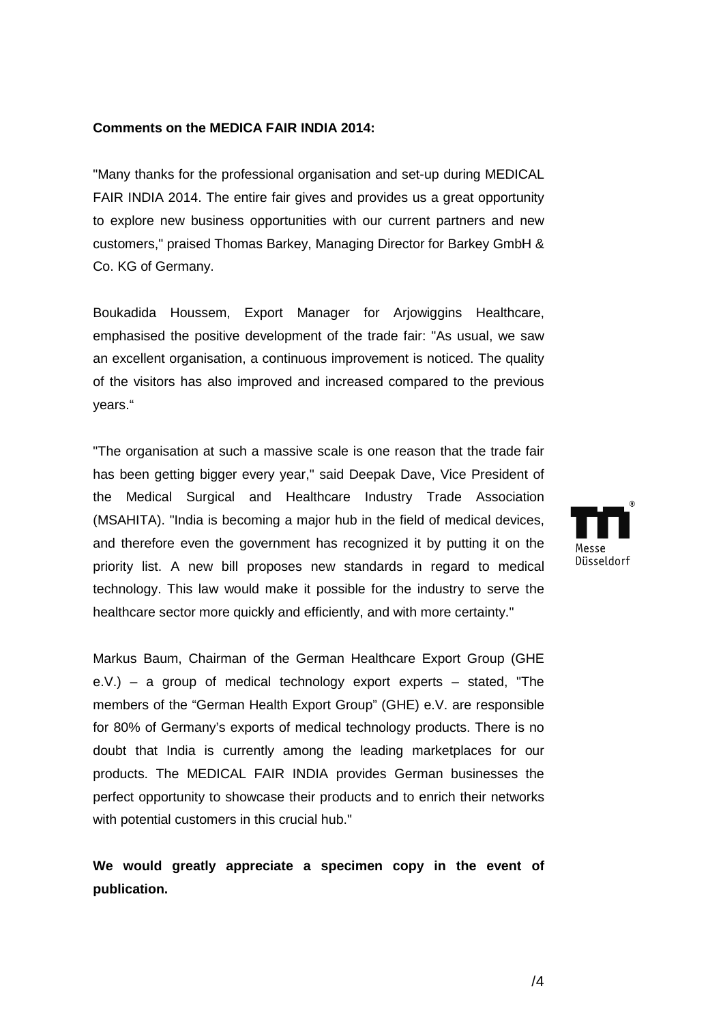#### **Comments on the MEDICA FAIR INDIA 2014:**

"Many thanks for the professional organisation and set-up during MEDICAL FAIR INDIA 2014. The entire fair gives and provides us a great opportunity to explore new business opportunities with our current partners and new customers," praised Thomas Barkey, Managing Director for Barkey GmbH & Co. KG of Germany.

Boukadida Houssem, Export Manager for Arjowiggins Healthcare, emphasised the positive development of the trade fair: "As usual, we saw an excellent organisation, a continuous improvement is noticed. The quality of the visitors has also improved and increased compared to the previous years." ," praised Thomas Barkey, Managing Director for Barkey GmbH &<br>Germany.<br>I Houssem, Export Manager for Arjowiggins Healthcare,<br>ed the positive development of the trade fair: "As usual, we saw

"The organisation at such a massive scale is one reason that the trade fair has been getting bigger every year," said Deepak Dave, Vice President of the Medical Surgical and Healthcare Industry Trade Association (MSAHITA). "India is becoming a major hub in the field of medical devices, and therefore even the government has recognized it by putting it on the priority list. A new bill proposes new standards in regard to medical technology. This law would make it possible for the industry to serve the healthcare sector more quickly and efficiently, and with more certainty."

Markus Baum, Chairman of the German Healthcare Export Group (GHE e.V.) – a group of medical technology export experts – stated, "The e.V.) – a group of medical technology export experts – stated, "The<br>members of the "German Health Export Group" (GHE) e.V. are responsible for 80% of Germany's exports of medical technology products. There is no doubt that India is currently among the leading marketplaces for our products. The MEDICAL FAIR INDIA provides German businesses the perfect opportunity to showcase their products and to enrich their networks with potential customers in this crucial hub."

**We would greatly appreciate a specimen copy in the event of publication.**